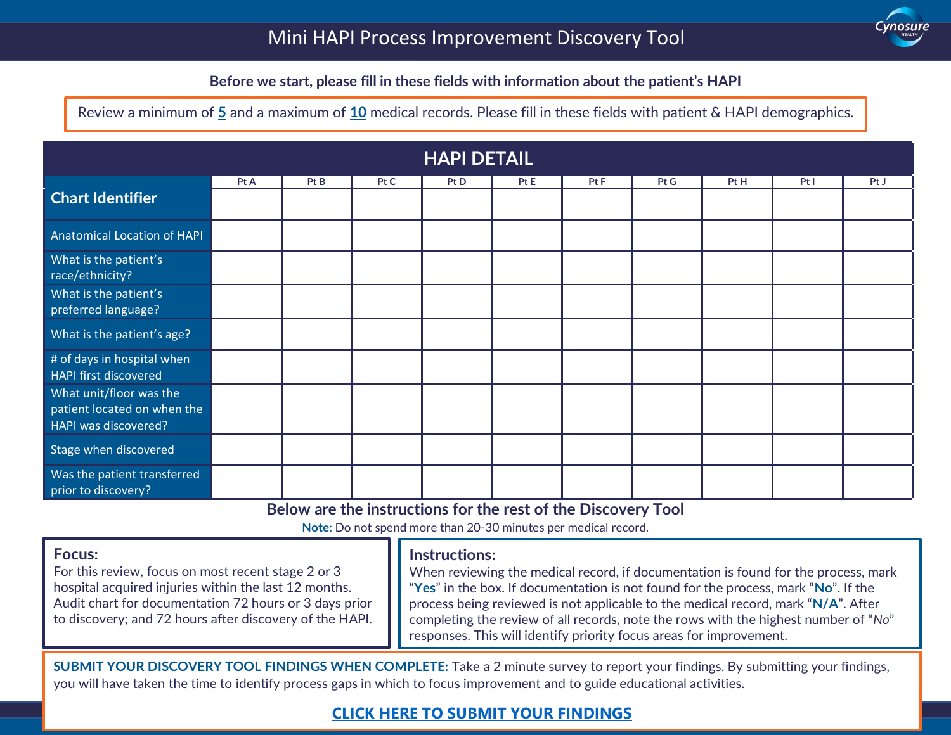

### **Before we start, please fill in these fields with information about the patient's HAPI**

Review a minimum of **5** and a maximum of **10** medical records. Please fill in these fields with patient & HAPI demographics.

 $\ddot{}$ 

| <b>HAPI DETAIL</b>                                                             |  |  |  |  |  |  |  |  |  |  |  |  |
|--------------------------------------------------------------------------------|--|--|--|--|--|--|--|--|--|--|--|--|
| Pt A<br>Pt B<br>Pt C<br>Pt D<br>Pt E<br>Pt F<br>Pt H<br>Pt G<br>PtI            |  |  |  |  |  |  |  |  |  |  |  |  |
| <b>Chart Identifier</b>                                                        |  |  |  |  |  |  |  |  |  |  |  |  |
| Anatomical Location of HAPI                                                    |  |  |  |  |  |  |  |  |  |  |  |  |
| What is the patient's<br>race/ethnicity?                                       |  |  |  |  |  |  |  |  |  |  |  |  |
| What is the patient's<br>preferred language?                                   |  |  |  |  |  |  |  |  |  |  |  |  |
| What is the patient's age?                                                     |  |  |  |  |  |  |  |  |  |  |  |  |
| # of days in hospital when<br><b>HAPI first discovered</b>                     |  |  |  |  |  |  |  |  |  |  |  |  |
| What unit/floor was the<br>patient located on when the<br>HAPI was discovered? |  |  |  |  |  |  |  |  |  |  |  |  |
| Stage when discovered                                                          |  |  |  |  |  |  |  |  |  |  |  |  |
| Was the patient transferred<br>prior to discovery?                             |  |  |  |  |  |  |  |  |  |  |  |  |

**Below are the instructions for the rest of the Discovery Tool**

**Note:** Do not spend more than 20-30 minutes per medical record.

| responses. This will identify priority focus areas for improvement. | <b>Focus:</b><br>For this review, focus on most recent stage 2 or 3<br>hospital acquired injuries within the last 12 months.<br>Audit chart for documentation 72 hours or 3 days prior<br>to discovery; and 72 hours after discovery of the HAPI. | <b>Instructions:</b><br>When reviewing the medical record, if documentation is found for the process, mark<br>"Yes" in the box. If documentation is not found for the process, mark "No". If the<br>process being reviewed is not applicable to the medical record, mark "N/A". After<br>completing the review of all records, note the rows with the highest number of "No" |
|---------------------------------------------------------------------|---------------------------------------------------------------------------------------------------------------------------------------------------------------------------------------------------------------------------------------------------|------------------------------------------------------------------------------------------------------------------------------------------------------------------------------------------------------------------------------------------------------------------------------------------------------------------------------------------------------------------------------|
|---------------------------------------------------------------------|---------------------------------------------------------------------------------------------------------------------------------------------------------------------------------------------------------------------------------------------------|------------------------------------------------------------------------------------------------------------------------------------------------------------------------------------------------------------------------------------------------------------------------------------------------------------------------------------------------------------------------------|

1 you will have taken the time to identify process gaps in which to focus improvement and to guide educational activities. **SUBMIT YOUR DISCOVERY TOOL FINDINGS WHEN COMPLETE:** Take a 2 minute survey to report your findings. By submitting your findings,

#### © 2021 Cynosure Health. All rights reserved. **[CLICK HERE TO SUBMIT YOUR FINDINGS](https://forms.office.com/Pages/ResponsePage.aspx?id=CaWuRzwNk06ImZTtwCQcupoWHPlbe_BJvTcIOh5cXV5UQ0w1WDlVODM0V0RZUjEzMzNGQUNKM0tPTC4u)**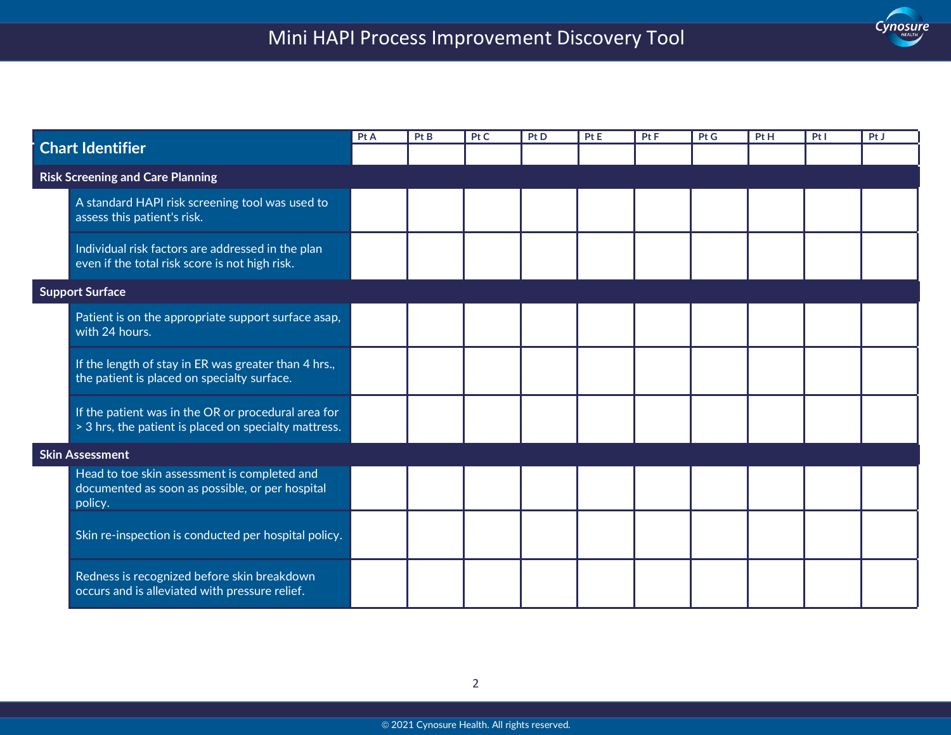$\ddot{}$ 



| <b>Chart Identifier</b> |                                                                                                              | Pt A | Pt B | Pt C | Pt D | Pt E | Pt F | Pt G | Pt H | PtI | Pt J |
|-------------------------|--------------------------------------------------------------------------------------------------------------|------|------|------|------|------|------|------|------|-----|------|
|                         |                                                                                                              |      |      |      |      |      |      |      |      |     |      |
|                         | <b>Risk Screening and Care Planning</b>                                                                      |      |      |      |      |      |      |      |      |     |      |
|                         | A standard HAPI risk screening tool was used to<br>assess this patient's risk.                               |      |      |      |      |      |      |      |      |     |      |
|                         | Individual risk factors are addressed in the plan<br>even if the total risk score is not high risk.          |      |      |      |      |      |      |      |      |     |      |
|                         | <b>Support Surface</b>                                                                                       |      |      |      |      |      |      |      |      |     |      |
|                         | Patient is on the appropriate support surface asap,<br>with 24 hours.                                        |      |      |      |      |      |      |      |      |     |      |
|                         | If the length of stay in ER was greater than 4 hrs.,<br>the patient is placed on specialty surface.          |      |      |      |      |      |      |      |      |     |      |
|                         | If the patient was in the OR or procedural area for<br>> 3 hrs, the patient is placed on specialty mattress. |      |      |      |      |      |      |      |      |     |      |
|                         | <b>Skin Assessment</b>                                                                                       |      |      |      |      |      |      |      |      |     |      |
|                         | Head to toe skin assessment is completed and<br>documented as soon as possible, or per hospital<br>policy.   |      |      |      |      |      |      |      |      |     |      |
|                         | Skin re-inspection is conducted per hospital policy.                                                         |      |      |      |      |      |      |      |      |     |      |
|                         | Redness is recognized before skin breakdown<br>occurs and is alleviated with pressure relief.                |      |      |      |      |      |      |      |      |     |      |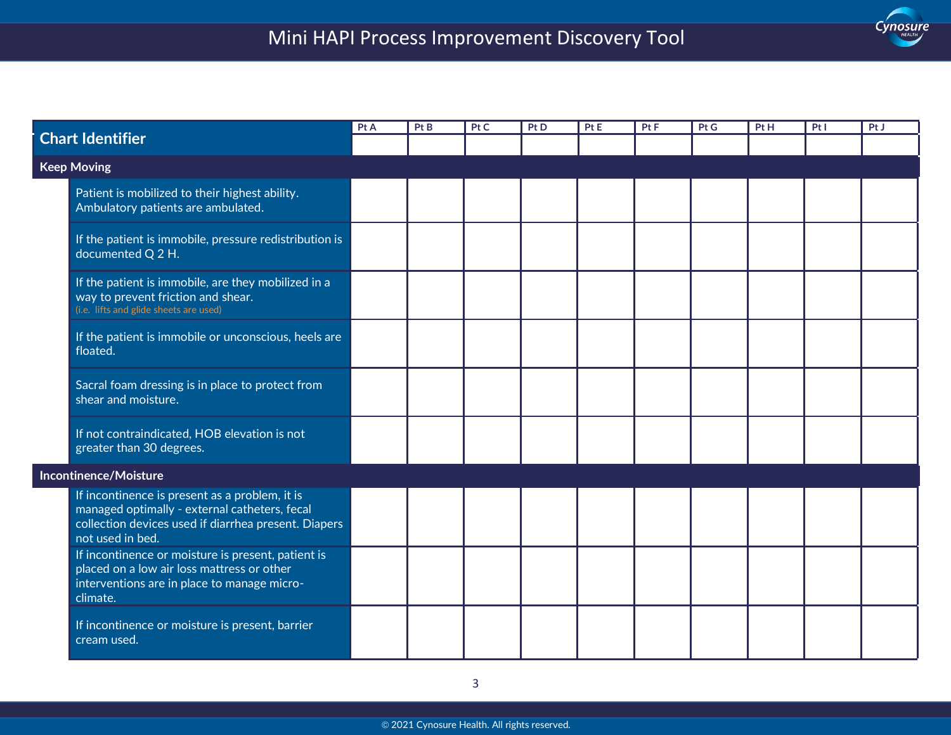# Mini HAPI Process Improvement Discovery Tool

 $\ddot{}$ 

| Cynosure |
|----------|
|          |

| <b>Chart Identifier</b> |                                                                                                                                                                             | Pt A | Pt B | Pt C | Pt D | Pt E | Pt F | Pt G | Pt H | PtI | PtJ |
|-------------------------|-----------------------------------------------------------------------------------------------------------------------------------------------------------------------------|------|------|------|------|------|------|------|------|-----|-----|
|                         |                                                                                                                                                                             |      |      |      |      |      |      |      |      |     |     |
| <b>Keep Moving</b>      |                                                                                                                                                                             |      |      |      |      |      |      |      |      |     |     |
|                         | Patient is mobilized to their highest ability.<br>Ambulatory patients are ambulated.                                                                                        |      |      |      |      |      |      |      |      |     |     |
|                         | If the patient is immobile, pressure redistribution is<br>documented Q 2 H.                                                                                                 |      |      |      |      |      |      |      |      |     |     |
|                         | If the patient is immobile, are they mobilized in a<br>way to prevent friction and shear.<br>(i.e. lifts and glide sheets are used)                                         |      |      |      |      |      |      |      |      |     |     |
|                         | If the patient is immobile or unconscious, heels are<br>floated.                                                                                                            |      |      |      |      |      |      |      |      |     |     |
|                         | Sacral foam dressing is in place to protect from<br>shear and moisture.                                                                                                     |      |      |      |      |      |      |      |      |     |     |
|                         | If not contraindicated, HOB elevation is not<br>greater than 30 degrees.                                                                                                    |      |      |      |      |      |      |      |      |     |     |
|                         | Incontinence/Moisture                                                                                                                                                       |      |      |      |      |      |      |      |      |     |     |
|                         | If incontinence is present as a problem, it is<br>managed optimally - external catheters, fecal<br>collection devices used if diarrhea present. Diapers<br>not used in bed. |      |      |      |      |      |      |      |      |     |     |
|                         | If incontinence or moisture is present, patient is<br>placed on a low air loss mattress or other<br>interventions are in place to manage micro-<br>climate.                 |      |      |      |      |      |      |      |      |     |     |
|                         | If incontinence or moisture is present, barrier<br>cream used.                                                                                                              |      |      |      |      |      |      |      |      |     |     |